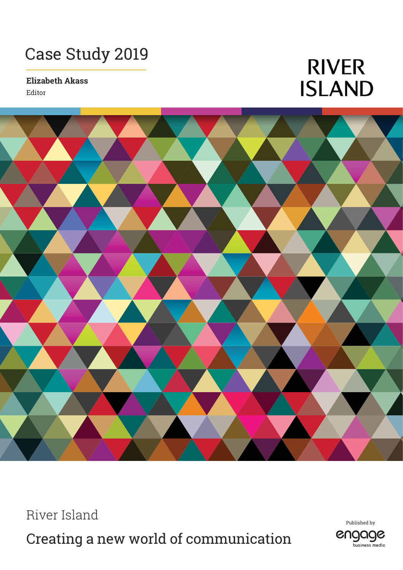## Case Study 2019

**Elizabeth Akass**

Editor

## **RIVER ISLAND**



River Island

Creating a new world of communication

Published byengage business media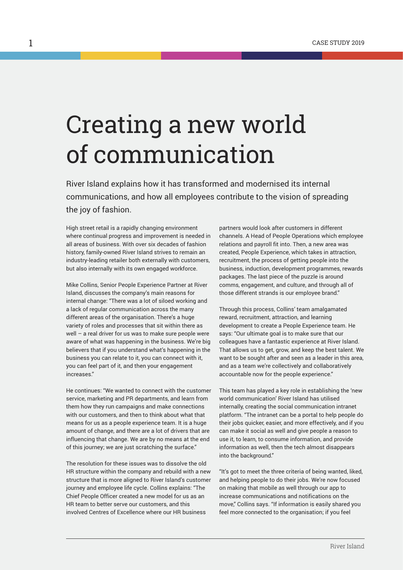## Creating a new world of communication

River Island explains how it has transformed and modernised its internal communications, and how all employees contribute to the vision of spreading the joy of fashion.

High street retail is a rapidly changing environment where continual progress and improvement is needed in all areas of business. With over six decades of fashion history, family-owned River Island strives to remain an industry-leading retailer both externally with customers, but also internally with its own engaged workforce.

Mike Collins, Senior People Experience Partner at River Island, discusses the company's main reasons for internal change: "There was a lot of siloed working and a lack of regular communication across the many different areas of the organisation. There's a huge variety of roles and processes that sit within there as well – a real driver for us was to make sure people were aware of what was happening in the business. We're big believers that if you understand what's happening in the business you can relate to it, you can connect with it, you can feel part of it, and then your engagement increases."

He continues: "We wanted to connect with the customer service, marketing and PR departments, and learn from them how they run campaigns and make connections with our customers, and then to think about what that means for us as a people experience team. It is a huge amount of change, and there are a lot of drivers that are influencing that change. We are by no means at the end of this journey; we are just scratching the surface."

The resolution for these issues was to dissolve the old HR structure within the company and rebuild with a new structure that is more aligned to River Island's customer journey and employee life cycle. Collins explains: "The Chief People Officer created a new model for us as an HR team to better serve our customers, and this involved Centres of Excellence where our HR business

partners would look after customers in different channels. A Head of People Operations which employee relations and payroll fit into. Then, a new area was created, People Experience, which takes in attraction, recruitment, the process of getting people into the business, induction, development programmes, rewards packages. The last piece of the puzzle is around comms, engagement, and culture, and through all of those different strands is our employee brand."

Through this process, Collins' team amalgamated reward, recruitment, attraction, and learning development to create a People Experience team. He says: "Our ultimate goal is to make sure that our colleagues have a fantastic experience at River Island. That allows us to get, grow, and keep the best talent. We want to be sought after and seen as a leader in this area, and as a team we're collectively and collaboratively accountable now for the people experience."

This team has played a key role in establishing the 'new world communication' River Island has utilised internally, creating the social communication intranet platform. "The intranet can be a portal to help people do their jobs quicker, easier, and more effectively, and if you can make it social as well and give people a reason to use it, to learn, to consume information, and provide information as well, then the tech almost disappears into the background."

"It's got to meet the three criteria of being wanted, liked, and helping people to do their jobs. We're now focused on making that mobile as well through our app to increase communications and notifications on the move," Collins says. "If information is easily shared you feel more connected to the organisation; if you feel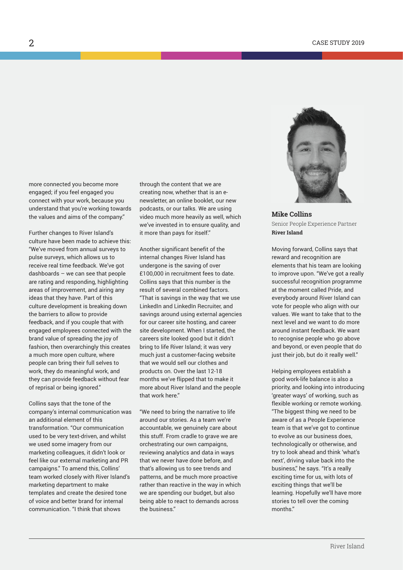more connected you become more engaged; if you feel engaged you connect with your work, because you understand that you're working towards the values and aims of the company."

Further changes to River Island's culture have been made to achieve this: "We've moved from annual surveys to pulse surveys, which allows us to receive real time feedback. We've got dashboards – we can see that people are rating and responding, highlighting areas of improvement, and airing any ideas that they have. Part of this culture development is breaking down the barriers to allow to provide feedback, and if you couple that with engaged employees connected with the brand value of spreading the joy of fashion, then overarchingly this creates a much more open culture, where people can bring their full selves to work, they do meaningful work, and they can provide feedback without fear of reprisal or being ignored."

Collins says that the tone of the company's internal communication was an additional element of this transformation. "Our communication used to be very text-driven, and whilst we used some imagery from our marketing colleagues, it didn't look or feel like our external marketing and PR campaigns." To amend this, Collins' team worked closely with River Island's marketing department to make templates and create the desired tone of voice and better brand for internal communication. "I think that shows

through the content that we are creating now, whether that is an enewsletter, an online booklet, our new podcasts, or our talks. We are using video much more heavily as well, which we've invested in to ensure quality, and it more than pays for itself."

Another significant benefit of the internal changes River Island has undergone is the saving of over £100,000 in recruitment fees to date. Collins says that this number is the result of several combined factors. "That is savings in the way that we use LinkedIn and LinkedIn Recruiter, and savings around using external agencies for our career site hosting, and career site development. When I started, the careers site looked good but it didn't bring to life River Island; it was very much just a customer-facing website that we would sell our clothes and products on. Over the last 12-18 months we've flipped that to make it more about River Island and the people that work here."

"We need to bring the narrative to life around our stories. As a team we're accountable, we genuinely care about this stuff. From cradle to grave we are orchestrating our own campaigns, reviewing analytics and data in ways that we never have done before, and that's allowing us to see trends and patterns, and be much more proactive rather than reactive in the way in which we are spending our budget, but also being able to react to demands across the business."



**Mike Collins** Senior People Experience Partner **River Island**

Moving forward, Collins says that reward and recognition are elements that his team are looking to improve upon. "We've got a really successful recognition programme at the moment called Pride, and everybody around River Island can vote for people who align with our values. We want to take that to the next level and we want to do more around instant feedback. We want to recognise people who go above and beyond, or even people that do just their job, but do it really well."

Helping employees establish a good work-life balance is also a priority, and looking into introducing 'greater ways' of working, such as flexible working or remote working. "The biggest thing we need to be aware of as a People Experience team is that we've got to continue to evolve as our business does, technologically or otherwise, and try to look ahead and think 'what's next', driving value back into the business," he says. "It's a really exciting time for us, with lots of exciting things that we'll be learning. Hopefully we'll have more stories to tell over the coming months."